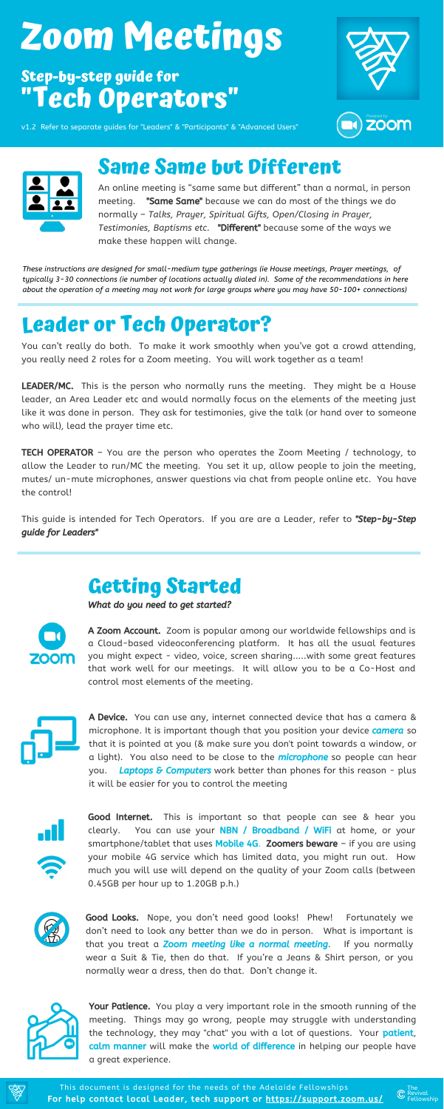### **Leader or Tech Operator?**

You can't really do both. To make it work smoothly when you've got a crowd attending, you really need 2 roles for a Zoom meeting. You will work together as a team!

LEADER/MC. This is the person who normally runs the meeting. They might be a House leader, an Area Leader etc and would normally focus on the elements of the meeting just like it was done in person. They ask for testimonies, give the talk (or hand over to someone who will), lead the prayer time etc.

**TECH OPERATOR** - You are the person who operates the Zoom Meeting / technology, to allow the Leader to run/MC the meeting. You set it up, allow people to join the meeting, mutes/ un-mute microphones, answer questions via chat from people online etc. You have the control!

This guide is intended for Tech Operators. If you are are a Leader, refer to "Step-by-Step guide for Leaders"

> A Zoom Account. Zoom is popular among our worldwide fellowships and is a Cloud-based videoconferencing platform. It has all the usual features you might expect - video, voice, screen sharing.....with some great features

> Good Internet. This is important so that people can see & hear you clearly. You can use your **NBN / Broadband / WiFi** at home, or your smartphone/tablet that uses **Mobile 4G. Zoomers beware**  $-$  if you are using your mobile 4G service which has limited data, you might run out. How much you will use will depend on the quality of your Zoom calls (between 0.45GB per hour up to 1.20GB p.h.)



### **Getting Started**

What do you need to get started?



A Device. You can use any, internet connected device that has a camera & microphone. It is important though that you position your device **camera** so that it is pointed at you (& make sure you don't point towards a window, or a light). You also need to be close to the *microphone* so people can hear you. Laptops & Computers work better than phones for this reason - plus it will be easier for you to control the meeting





Your Patience. You play a very important role in the smooth running of the meeting. Things may go wrong, people may struggle with understanding the technology, they may "chat" you with a lot of questions. Your patient, calm manner will make the world of difference in helping our people have a great experience.

that work well for our meetings. It will allow you to be a Co-Host and control most elements of the meeting.







Good Looks. Nope, you don't need good looks! Phew! Fortunately we don't need to look any better than we do in person. What is important is that you treat a **Zoom meeting like a normal meeting**. If you normally wear a Suit & Tie, then do that. If you're a Jeans & Shirt person, or you normally wear a dress, then do that. Don't change it.



*These instructions are designed for small-medium type gatherings (ie House meetings, Prayer meetings, of typically 3-30 connections (ie number of locations actually dialed in). Some of the recommendations in here* about the operation of a meeting may not work for large groups where you may have 50-100+ connections)

# **Zoom Meetings**

### **Step-by-step guide for "Tech Operators"**



v1.2 Refer to separate guides for "Leaders" & "Participants" & "Advanced Users"





### **Same Same but Different**

An online meeting is "same same but different" than a normal, in person meeting. "Same Same" because we can do most of the things we do normally – *Talks, Prayer, Spiritual Gifts, Open/Closing in Prayer, Testimonies, Baptisms etc.* "Different" because some of the ways we make these happen will change.

For help contact local Leader, tech support or <https://support.zoom.us/> This document is designed for the needs of the Adelaide Fellowships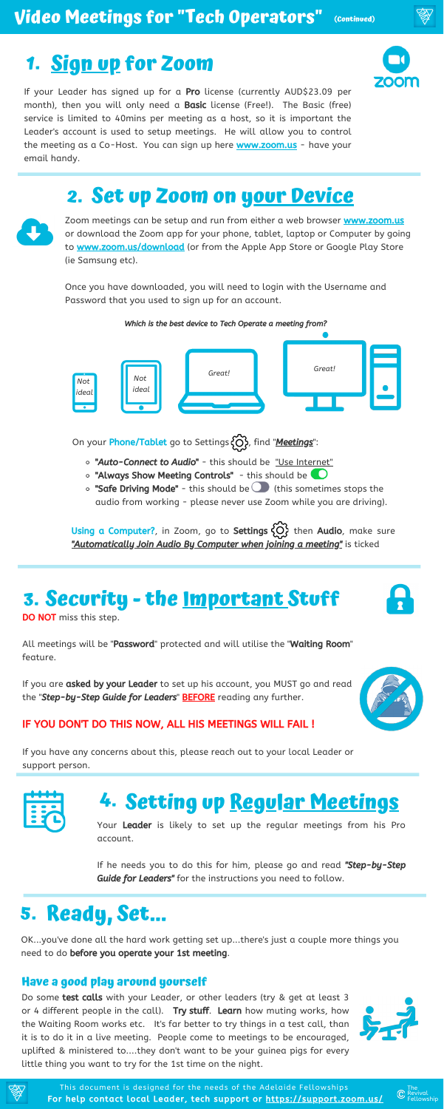If your Leader has signed up for a Pro license (currently AUD\$23.09 per month), then you will only need a Basic license (Free!). The Basic (free) service is limited to 40mins per meeting as a host, so it is important the Leader's account is used to setup meetings. He will allow you to control the meeting as a Co-Host. You can sign up here **[www.zoom.us](http://www.zoom.us/)** - have your email handy.



All meetings will be "Password" protected and will utilise the "Waiting Room" feature.

If you are asked by your Leader to set up his account, you MUST go and read the "Step-by-Step Guide for Leaders" BEFORE reading any further.



#### IF YOU DON'T DO THIS NOW, ALL HIS MEETINGS WILL FAIL !



Zoom meetings can be setup and run from either a web browser [www.zoom.us](http://www.zoom.us/) or download the Zoom app for your phone, tablet, laptop or Computer by going to **[www.zoom.us/download](http://www.zoom.us/download)** (or from the Apple App Store or Google Play Store (ie Samsung etc).

Your Leader is likely to set up the regular meetings from his Pro account.

If he needs you to do this for him, please go and read "Step-by-Step Guide for Leaders" for the instructions you need to follow.

If you have any concerns about this, please reach out to your local Leader or support person.



### **Security - the Important Stuff 3.**



DO NOT miss this step.

Do some **test calls** with your Leader, or other leaders (try & get at least 3 or 4 different people in the call). Try stuff. Learn how muting works, how the Waiting Room works etc. It's far better to try things in a test call, than it is to do it in a live meeting. People come to meetings to be encouraged, uplifted & ministered to....they don't want to be your guinea pigs for every little thing you want to try for the 1st time on the night.





Once you have downloaded, you will need to login with the Username and Password that you used to sign up for an account.

For help contact local Leader, tech support or <https://support.zoom.us/> This document is designed for the needs of the Adelaide Fellowships





On your **Phone/Tablet** go to Settings  $\{\bigcirc\}$ , find "**Meetings**":

### **Sign up for Zoom 1.**

### **2. Set up Zoom on your Device**



- o "Auto-Connect to Audio" this should be "Use Internet"
- "Always Show Meeting Controls" this should be
- $\circ$  "Safe Driving Mode" this should be (this sometimes stops the audio from working - please never use Zoom while you are driving).

Using a Computer?, in Zoom, go to Settings  $\{O\}$  then Audio, make sure "Automatically Join Audio By Computer when joining a meeting" is ticked

### **Setting up Regular Meetings 4.**

#### **Have a good play around yourself**

### **Ready, Set... 5.**

OK...you've done all the hard work getting set up...there's just a couple more things you need to do before you operate your 1st meeting.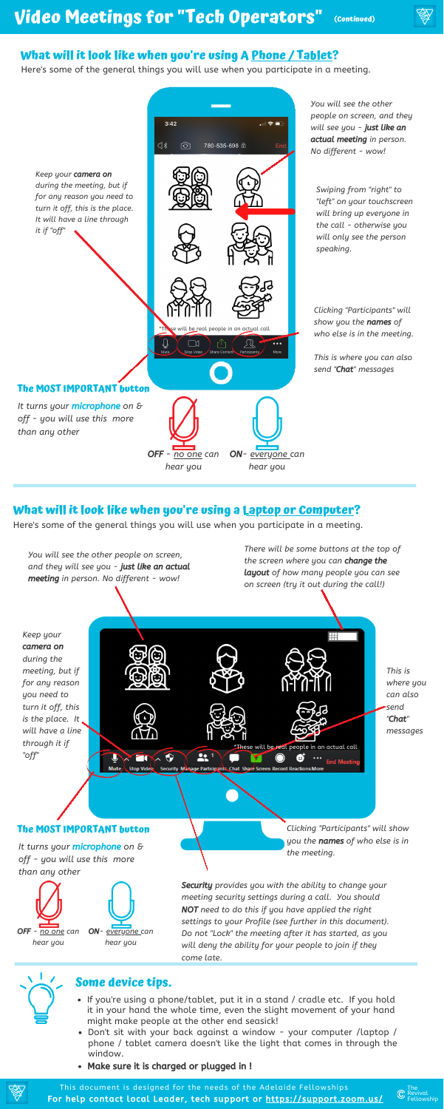

### **What will it look like when you're using A Phone / Tablet?**

#### **What will it look like when you're using a Laptop or Computer?**

- If you're using a phone/tablet, put it in a stand / cradle etc. If you hold it in your hand the whole time, even the slight movement of your hand might make people at the other end seasick!
- Don't sit with your back against a window your computer /laptop / phone / tablet camera doesn't like the light that comes in through the window.
- Make sure it is charged or plugged in !





### **Some device tips.**

For help contact local Leader, tech support or <https://support.zoom.us/> This document is designed for the needs of the Adelaide Fellowships



Here's some of the general things you will use when you participate in a meeting.

Here's some of the general things you will use when you participate in a meeting.

OFF *- no one can*

*hear you*

ON*- everyone can hear you*

*settings to your Profile (see further in this document). Do not "Lock" the meeting after it has started, as you will deny the ability for your people to join if they come late.*

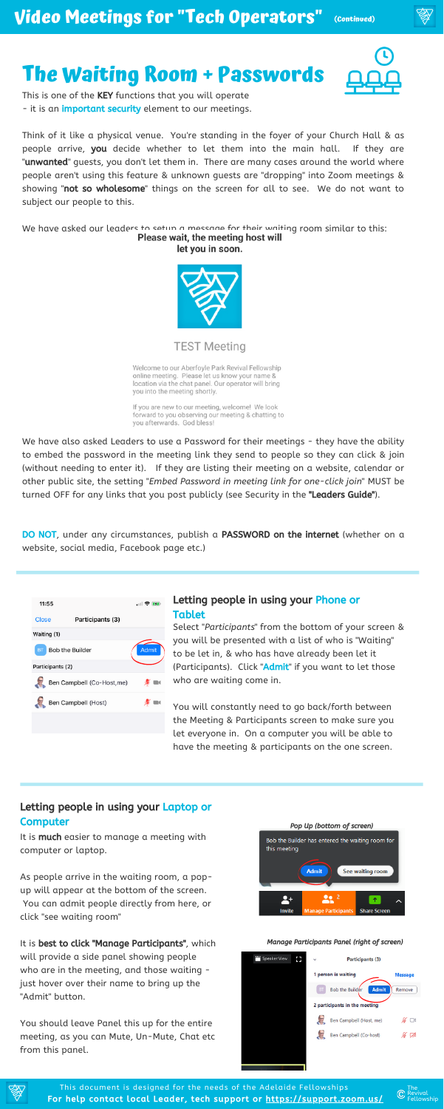### **The Waiting Room + Passwords**

This is one of the KEY functions that you will operate - it is an *important security* element to our meetings.

Think of it like a physical venue. You're standing in the foyer of your Church Hall & as people arrive, you decide whether to let them into the main hall. If they are "**unwanted**" guests, you don't let them in. There are many cases around the world where people aren't using this feature & unknown guests are "dropping" into Zoom meetings & showing "not so wholesome" things on the screen for all to see. We do not want to subject our people to this.

We have asked our leaders to setup a message for their waiting room similar to this:<br>Please wait, the meeting host will let you in soon.



**TEST Meeting** 

Welcome to our Aberfoyle Park Revival Fellowship online meeting. Please let us know your name & location via the chat panel. Our operator will bring you into the meeting shortly.

If you are new to our meeting, welcome! We look forward to you observing our meeting & chatting to you afterwards. God bless!

We have also asked Leaders to use a Password for their meetings - they have the ability to embed the password in the meeting link they send to people so they can click & join (without needing to enter it). If they are listing their meeting on a website, calendar or other public site, the setting "*Embed Password in meeting link for one-click join*" MUST be turned OFF for any links that you post publicly (see Security in the "Leaders Guide").

DO NOT, under any circumstances, publish a PASSWORD on the internet (whether on a website, social media, Facebook page etc.)



It is **much** easier to manage a meeting with computer or laptop.

#### Letting people in using your Laptop or **Computer**



For help contact local Leader, tech support or <https://support.zoom.us/> This document is designed for the needs of the Adelaide Fellowships

Select "*Participants*" from the bottom of your screen & you will be presented with a list of who is "Waiting" to be let in, & who has have already been let it (Participants). Click "Admit" if you want to let those who are waiting come in.

You will constantly need to go back/forth between the Meeting & Participants screen to make sure you let everyone in. On a computer you will be able to have the meeting & participants on the one screen.

As people arrive in the waiting room, a popup will appear at the bottom of the screen. You can admit people directly from here, or click "see waiting room"

It is best to click "Manage Participants", which will provide a side panel showing people who are in the meeting, and those waiting just hover over their name to bring up the "Admit" button.

You should leave Panel this up for the entire meeting, as you can Mute, Un-Mute, Chat etc from this panel.

#### Letting people in using your Phone or Tablet

#### Manage Participants Panel (right of screen)





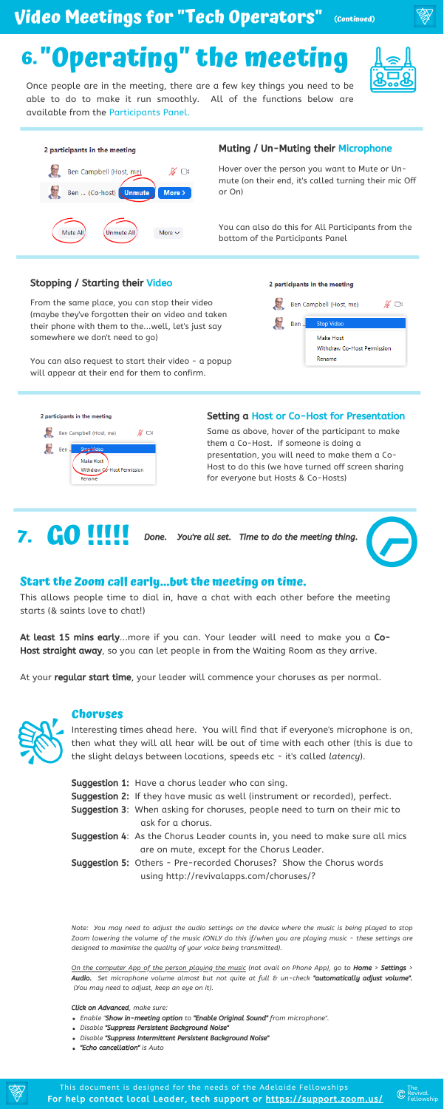#### **Choruses**

- *Enable "*Show in-meeting option *to* "Enable Original Sound" *from microphone".*
- *Disable* "Suppress Persistent Background Noise"
- *Disable* "Suppress Intermittent Persistent Background Noise"
- "Echo cancellation" *is Auto*



Interesting times ahead here. You will find that if everyone's microphone is on, then what they will all hear will be out of time with each other (this is due to the slight delays between locations, speeds etc - it's called *latency*).

- **Suggestion 1:** Have a chorus leader who can sing.
- **Suggestion 2:** If they have music as well (instrument or recorded), perfect.
- **Suggestion 3:** When asking for choruses, people need to turn on their mic to ask for a chorus.
- **Suggestion 4:** As the Chorus Leader counts in, you need to make sure all mics are on mute, except for the Chorus Leader.
- **Suggestion 5:** Others Pre-recorded Choruses? Show the Chorus words using http://revivalapps.com/choruses/?

Note: You may need to adjust the audio settings on the device where the music is being played to stop Zoom lowering the volume of the music (ONLY do this if/when you are playing music - these settings are *designed to maximise the quality of your voice being transmitted).*

On the computer App of the person playing the music (not avail on Phone App), go to Home > Settings > Audio. *Set microphone volume almost but not quite at full & un-check* "automatically adjust volume". *(You may need to adjust, keep an eye on it).*

At least 15 mins early...more if you can. Your leader will need to make you a Co-Host straight away, so you can let people in from the Waiting Room as they arrive.



At your **regular start time**, your leader will commence your choruses as per normal.



Click on Advanced*, make sure:*

#### **Start the Zoom call early...but the meeting on time.**

This allows people time to dial in, have a chat with each other before the meeting starts (& saints love to chat!)

For help contact local Leader, tech support or <https://support.zoom.us/> This document is designed for the needs of the Adelaide Fellowships



Once people are in the meeting, there are a few key things you need to be able to do to make it run smoothly. All of the functions below are available from the Participants Panel.



#### Muting / Un-Muting their Microphone

Hover over the person you want to Mute or Unmute (on their end, it's called turning their mic Off or On)

You can also do this for All Participants from the bottom of the Participants Panel

From the same place, you can stop their video (maybe they've forgotten their on video and taken their phone with them to the...well, let's just say somewhere we don't need to go)

You can also request to start their video - a popup will appear at their end for them to confirm.

#### 2 participants in the meeting





#### Stopping / Starting their Video

Same as above, hover of the participant to make them a Co-Host. If someone is doing a presentation, you will need to make them a Co-Host to do this (we have turned off screen sharing for everyone but Hosts & Co-Hosts)



**7. CO !!!!** Done. You're all set. Time to do the meeting thing.



#### Setting a Host or Co-Host for Presentation

#### **Video Meetings for "Tech Operators" (Continued)**

## **6. "Operating" the meeting**